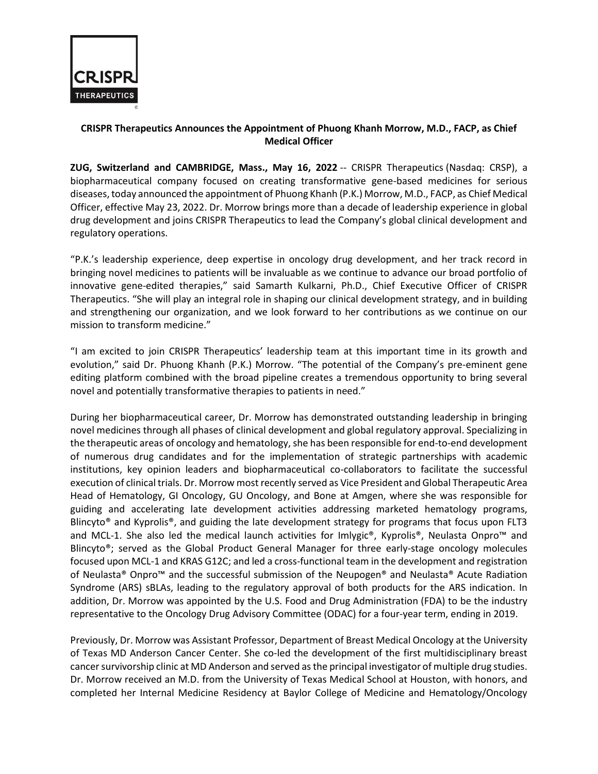

## **CRISPR Therapeutics Announces the Appointment of Phuong Khanh Morrow, M.D., FACP, as Chief Medical Officer**

**ZUG, Switzerland and CAMBRIDGE, Mass., May 16, 2022** -- CRISPR Therapeutics (Nasdaq: CRSP), a biopharmaceutical company focused on creating transformative gene-based medicines for serious diseases, today announced the appointment of Phuong Khanh (P.K.) Morrow, M.D., FACP, as Chief Medical Officer, effective May 23, 2022. Dr. Morrow brings more than a decade of leadership experience in global drug development and joins CRISPR Therapeutics to lead the Company's global clinical development and regulatory operations.

"P.K.'s leadership experience, deep expertise in oncology drug development, and her track record in bringing novel medicines to patients will be invaluable as we continue to advance our broad portfolio of innovative gene-edited therapies," said Samarth Kulkarni, Ph.D., Chief Executive Officer of CRISPR Therapeutics. "She will play an integral role in shaping our clinical development strategy, and in building and strengthening our organization, and we look forward to her contributions as we continue on our mission to transform medicine."

"I am excited to join CRISPR Therapeutics' leadership team at this important time in its growth and evolution," said Dr. Phuong Khanh (P.K.) Morrow. "The potential of the Company's pre-eminent gene editing platform combined with the broad pipeline creates a tremendous opportunity to bring several novel and potentially transformative therapies to patients in need."

During her biopharmaceutical career, Dr. Morrow has demonstrated outstanding leadership in bringing novel medicines through all phases of clinical development and global regulatory approval. Specializing in the therapeutic areas of oncology and hematology, she has been responsible for end-to-end development of numerous drug candidates and for the implementation of strategic partnerships with academic institutions, key opinion leaders and biopharmaceutical co-collaborators to facilitate the successful execution of clinical trials. Dr. Morrow most recently served as Vice President and Global Therapeutic Area Head of Hematology, GI Oncology, GU Oncology, and Bone at Amgen, where she was responsible for guiding and accelerating late development activities addressing marketed hematology programs, Blincyto<sup>®</sup> and Kyprolis<sup>®</sup>, and guiding the late development strategy for programs that focus upon FLT3 and MCL-1. She also led the medical launch activities for Imlygic®, Kyprolis®, Neulasta Onpro™ and Blincyto®; served as the Global Product General Manager for three early-stage oncology molecules focused upon MCL-1 and KRAS G12C; and led a cross-functional team in the development and registration of Neulasta® Onpro™ and the successful submission of the Neupogen® and Neulasta® Acute Radiation Syndrome (ARS) sBLAs, leading to the regulatory approval of both products for the ARS indication. In addition, Dr. Morrow was appointed by the U.S. Food and Drug Administration (FDA) to be the industry representative to the Oncology Drug Advisory Committee (ODAC) for a four-year term, ending in 2019.

Previously, Dr. Morrow was Assistant Professor, Department of Breast Medical Oncology at the University of Texas MD Anderson Cancer Center. She co-led the development of the first multidisciplinary breast cancer survivorship clinic at MD Anderson and served as the principal investigator of multiple drug studies. Dr. Morrow received an M.D. from the University of Texas Medical School at Houston, with honors, and completed her Internal Medicine Residency at Baylor College of Medicine and Hematology/Oncology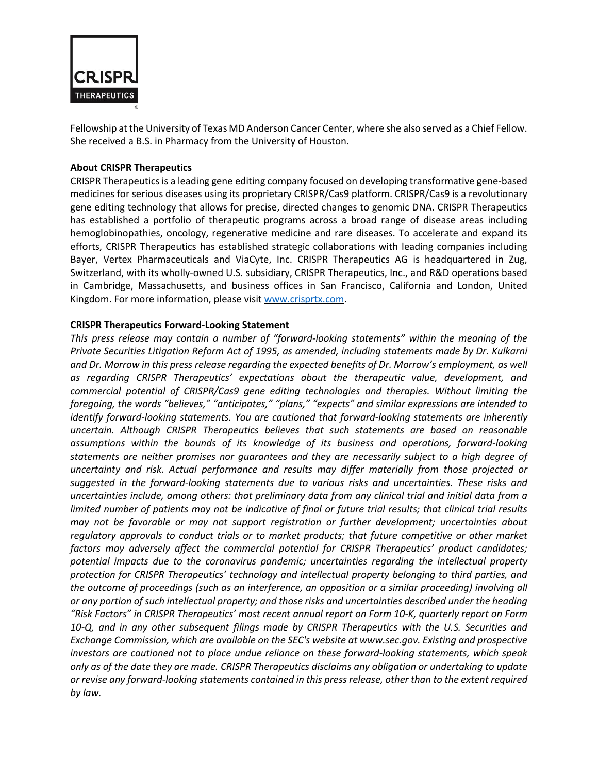

Fellowship at the University of Texas MD Anderson Cancer Center, where she also served as a Chief Fellow. She received a B.S. in Pharmacy from the University of Houston.

## **About CRISPR Therapeutics**

CRISPR Therapeuticsis a leading gene editing company focused on developing transformative gene-based medicines for serious diseases using its proprietary CRISPR/Cas9 platform. CRISPR/Cas9 is a revolutionary gene editing technology that allows for precise, directed changes to genomic DNA. CRISPR Therapeutics has established a portfolio of therapeutic programs across a broad range of disease areas including hemoglobinopathies, oncology, regenerative medicine and rare diseases. To accelerate and expand its efforts, CRISPR Therapeutics has established strategic collaborations with leading companies including Bayer, Vertex Pharmaceuticals and ViaCyte, Inc. CRISPR Therapeutics AG is headquartered in Zug, Switzerland, with its wholly-owned U.S. subsidiary, CRISPR Therapeutics, Inc., and R&D operations based in Cambridge, Massachusetts, and business offices in San Francisco, California and London, United Kingdom. For more information, please visit [www.crisprtx.com.](http://www.crisprtx.com/)

## **CRISPR Therapeutics Forward-Looking Statement**

*This press release may contain a number of "forward-looking statements" within the meaning of the Private Securities Litigation Reform Act of 1995, as amended, including statements made by Dr. Kulkarni and Dr. Morrow in this press release regarding the expected benefits of Dr. Morrow's employment, as well as regarding CRISPR Therapeutics' expectations about the therapeutic value, development, and commercial potential of CRISPR/Cas9 gene editing technologies and therapies. Without limiting the foregoing, the words "believes," "anticipates," "plans," "expects" and similar expressions are intended to identify forward-looking statements. You are cautioned that forward-looking statements are inherently uncertain. Although CRISPR Therapeutics believes that such statements are based on reasonable assumptions within the bounds of its knowledge of its business and operations, forward-looking statements are neither promises nor guarantees and they are necessarily subject to a high degree of uncertainty and risk. Actual performance and results may differ materially from those projected or suggested in the forward-looking statements due to various risks and uncertainties. These risks and uncertainties include, among others: that preliminary data from any clinical trial and initial data from a* limited number of patients may not be indicative of final or future trial results; that clinical trial results *may not be favorable or may not support registration or further development; uncertainties about regulatory approvals to conduct trials or to market products; that future competitive or other market factors may adversely affect the commercial potential for CRISPR Therapeutics' product candidates; potential impacts due to the coronavirus pandemic; uncertainties regarding the intellectual property protection for CRISPR Therapeutics' technology and intellectual property belonging to third parties, and the outcome of proceedings (such as an interference, an opposition or a similar proceeding) involving all or any portion of such intellectual property; and those risks and uncertainties described under the heading "Risk Factors" in CRISPR Therapeutics' most recent annual report on Form 10-K, quarterly report on Form 10-Q, and in any other subsequent filings made by CRISPR Therapeutics with the U.S. Securities and Exchange Commission, which are available on the SEC's website at www.sec.gov. Existing and prospective investors are cautioned not to place undue reliance on these forward-looking statements, which speak only as of the date they are made. CRISPR Therapeutics disclaims any obligation or undertaking to update or revise any forward-looking statements contained in this press release, other than to the extent required by law.*